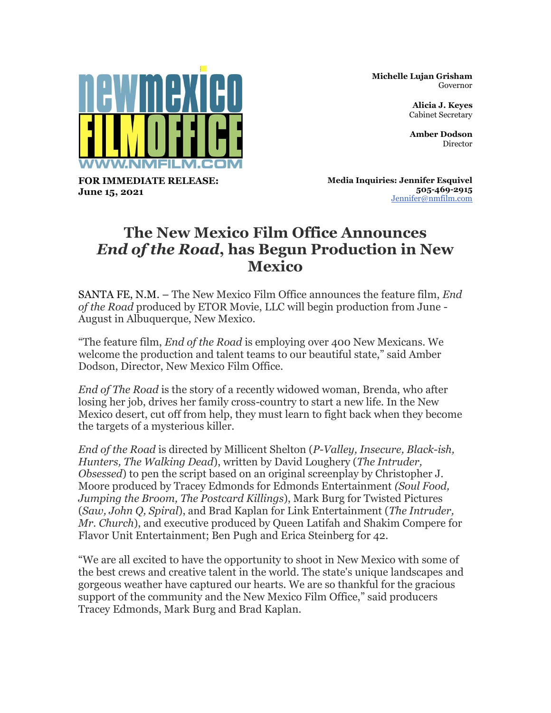

**Michelle Lujan Grisham** Governor

> **Alicia J. Keyes** Cabinet Secretary

**Amber Dodson** Director

**FOR IMMEDIATE RELEASE: June 15, 2021**

**Media Inquiries: Jennifer Esquivel 505-469-2915** [Jennifer@nmfilm.com](mailto:jennifer@nmfilm.com)

## **The New Mexico Film Office Announces** *End of the Road***, has Begun Production in New Mexico**

SANTA FE, N.M. – The New Mexico Film Office announces the feature film, *End of the Road* produced by ETOR Movie, LLC will begin production from June - August in Albuquerque, New Mexico.

"The feature film, *End of the Road* is employing over 400 New Mexicans. We welcome the production and talent teams to our beautiful state," said Amber Dodson, Director, New Mexico Film Office.

*End of The Road* is the story of a recently widowed woman, Brenda, who after losing her job, drives her family cross-country to start a new life. In the New Mexico desert, cut off from help, they must learn to fight back when they become the targets of a mysterious killer.

*End of the Road* is directed by Millicent Shelton (*P-Valley, Insecure, Black-ish, Hunters, The Walking Dead*), written by David Loughery (*The Intruder, Obsessed*) to pen the script based on an original screenplay by Christopher J. Moore produced by Tracey Edmonds for Edmonds Entertainment *(Soul Food, Jumping the Broom, The Postcard Killings*), Mark Burg for Twisted Pictures (*Saw, John Q, Spiral*), and Brad Kaplan for Link Entertainment (*The Intruder, Mr. Church*), and executive produced by Queen Latifah and Shakim Compere for Flavor Unit Entertainment; Ben Pugh and Erica Steinberg for 42.

"We are all excited to have the opportunity to shoot in New Mexico with some of the best crews and creative talent in the world. The state's unique landscapes and gorgeous weather have captured our hearts. We are so thankful for the gracious support of the community and the New Mexico Film Office," said producers Tracey Edmonds, Mark Burg and Brad Kaplan.